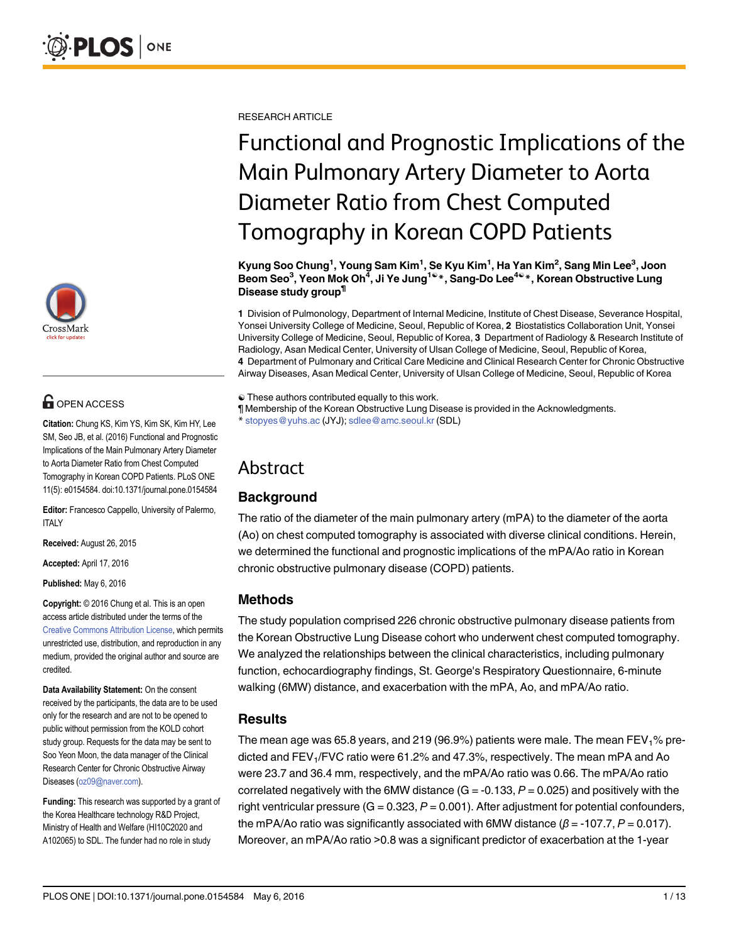

# **G** OPEN ACCESS

Citation: Chung KS, Kim YS, Kim SK, Kim HY, Lee SM, Seo JB, et al. (2016) Functional and Prognostic Implications of the Main Pulmonary Artery Diameter to Aorta Diameter Ratio from Chest Computed Tomography in Korean COPD Patients. PLoS ONE 11(5): e0154584. doi:10.1371/journal.pone.0154584

Editor: Francesco Cappello, University of Palermo, ITALY

Received: August 26, 2015

Accepted: April 17, 2016

Published: May 6, 2016

Copyright: © 2016 Chung et al. This is an open access article distributed under the terms of the [Creative Commons Attribution License,](http://creativecommons.org/licenses/by/4.0/) which permits unrestricted use, distribution, and reproduction in any medium, provided the original author and source are credited.

Data Availability Statement: On the consent received by the participants, the data are to be used only for the research and are not to be opened to public without permission from the KOLD cohort study group. Requests for the data may be sent to Soo Yeon Moon, the data manager of the Clinical Research Center for Chronic Obstructive Airway Diseases (oz09@naver.com).

Funding: This research was supported by a grant of the Korea Healthcare technology R&D Project, Ministry of Health and Welfare (HI10C2020 and A102065) to SDL. The funder had no role in study

RESEARCH ARTICLE

# Functional and Prognostic Implications of the Main Pulmonary Artery Diameter to Aorta Diameter Ratio from Chest Computed Tomography in Korean COPD Patients

Kyung Soo Chung<sup>1</sup>, Young Sam Kim<sup>1</sup>, Se Kyu Kim<sup>1</sup>, Ha Yan Kim<sup>2</sup>, Sang Min Lee<sup>3</sup>, Joon Beom Seo<sup>3</sup>, Yeon Mok Oh<sup>4</sup>, Ji Ye Jung<sup>1ଢ</sup>\*, Sang-Do Lee<sup>4ଢ</sup>\*, Korean Obstructive Lung Disease study group¶

1 Division of Pulmonology, Department of Internal Medicine, Institute of Chest Disease, Severance Hospital, Yonsei University College of Medicine, Seoul, Republic of Korea, 2 Biostatistics Collaboration Unit, Yonsei University College of Medicine, Seoul, Republic of Korea, 3 Department of Radiology & Research Institute of Radiology, Asan Medical Center, University of Ulsan College of Medicine, Seoul, Republic of Korea, 4 Department of Pulmonary and Critical Care Medicine and Clinical Research Center for Chronic Obstructive Airway Diseases, Asan Medical Center, University of Ulsan College of Medicine, Seoul, Republic of Korea

☯ These authors contributed equally to this work.

¶ Membership of the Korean Obstructive Lung Disease is provided in the Acknowledgments. stopyes@yuhs.ac (JYJ); sdlee@amc.seoul.kr (SDL)

# Abstract

# **Background**

The ratio of the diameter of the main pulmonary artery (mPA) to the diameter of the aorta (Ao) on chest computed tomography is associated with diverse clinical conditions. Herein, we determined the functional and prognostic implications of the mPA/Ao ratio in Korean chronic obstructive pulmonary disease (COPD) patients.

# Methods

The study population comprised 226 chronic obstructive pulmonary disease patients from the Korean Obstructive Lung Disease cohort who underwent chest computed tomography. We analyzed the relationships between the clinical characteristics, including pulmonary function, echocardiography findings, St. George's Respiratory Questionnaire, 6-minute walking (6MW) distance, and exacerbation with the mPA, Ao, and mPA/Ao ratio.

# Results

The mean age was 65.8 years, and 219 (96.9%) patients were male. The mean  $FEV<sub>1</sub>$ % predicted and FEV<sub>1</sub>/FVC ratio were 61.2% and 47.3%, respectively. The mean mPA and Ao were 23.7 and 36.4 mm, respectively, and the mPA/Ao ratio was 0.66. The mPA/Ao ratio correlated negatively with the 6MW distance  $(G = -0.133, P = 0.025)$  and positively with the right ventricular pressure  $(G = 0.323, P = 0.001)$ . After adjustment for potential confounders, the mPA/Ao ratio was significantly associated with 6MW distance  $(\beta = -107.7, P = 0.017)$ . Moreover, an mPA/Ao ratio >0.8 was a significant predictor of exacerbation at the 1-year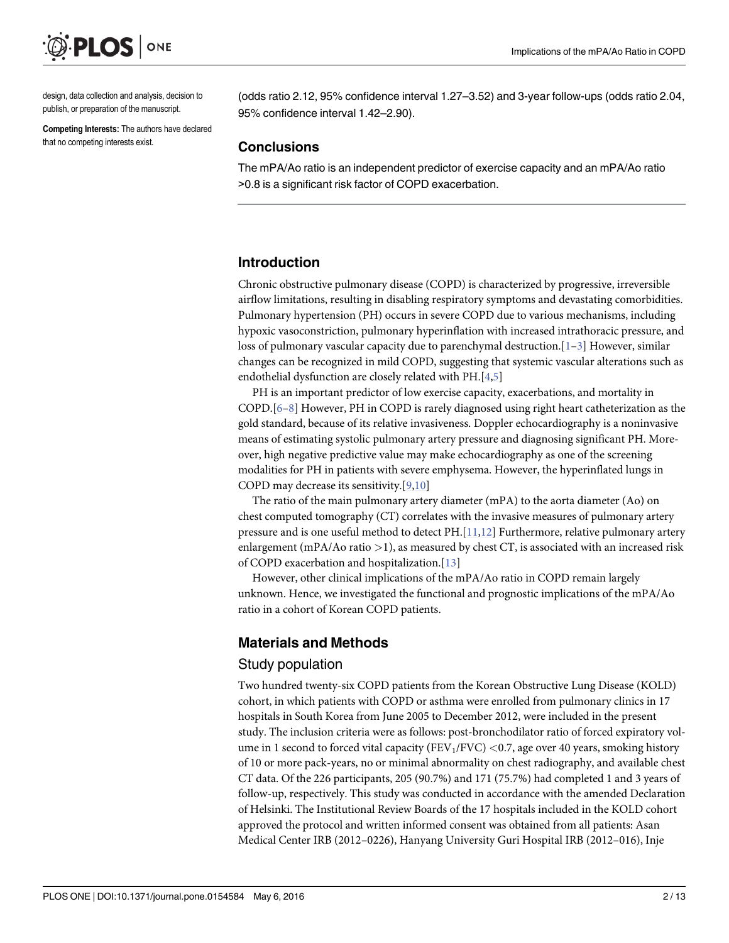<span id="page-1-0"></span>

design, data collection and analysis, decision to publish, or preparation of the manuscript.

Competing Interests: The authors have declared that no competing interests exist.

(odds ratio 2.12, 95% confidence interval 1.27–3.52) and 3-year follow-ups (odds ratio 2.04, 95% confidence interval 1.42–2.90).

# **Conclusions**

The mPA/Ao ratio is an independent predictor of exercise capacity and an mPA/Ao ratio >0.8 is a significant risk factor of COPD exacerbation.

# Introduction

Chronic obstructive pulmonary disease (COPD) is characterized by progressive, irreversible airflow limitations, resulting in disabling respiratory symptoms and devastating comorbidities. Pulmonary hypertension (PH) occurs in severe COPD due to various mechanisms, including hypoxic vasoconstriction, pulmonary hyperinflation with increased intrathoracic pressure, and loss of pulmonary vascular capacity due to parenchymal destruction. $[1-3]$  $[1-3]$  $[1-3]$  $[1-3]$  However, similar changes can be recognized in mild COPD, suggesting that systemic vascular alterations such as endothelial dysfunction are closely related with PH.[\[4,5](#page-10-0)]

PH is an important predictor of low exercise capacity, exacerbations, and mortality in COPD.[[6](#page-10-0)–[8](#page-10-0)] However, PH in COPD is rarely diagnosed using right heart catheterization as the gold standard, because of its relative invasiveness. Doppler echocardiography is a noninvasive means of estimating systolic pulmonary artery pressure and diagnosing significant PH. Moreover, high negative predictive value may make echocardiography as one of the screening modalities for PH in patients with severe emphysema. However, the hyperinflated lungs in COPD may decrease its sensitivity.[\[9,10\]](#page-10-0)

The ratio of the main pulmonary artery diameter (mPA) to the aorta diameter (Ao) on chest computed tomography (CT) correlates with the invasive measures of pulmonary artery pressure and is one useful method to detect PH.[[11,12](#page-10-0)] Furthermore, relative pulmonary artery enlargement (mPA/Ao ratio  $>$ 1), as measured by chest CT, is associated with an increased risk of COPD exacerbation and hospitalization.[[13](#page-10-0)]

However, other clinical implications of the mPA/Ao ratio in COPD remain largely unknown. Hence, we investigated the functional and prognostic implications of the mPA/Ao ratio in a cohort of Korean COPD patients.

# Materials and Methods

# Study population

Two hundred twenty-six COPD patients from the Korean Obstructive Lung Disease (KOLD) cohort, in which patients with COPD or asthma were enrolled from pulmonary clinics in 17 hospitals in South Korea from June 2005 to December 2012, were included in the present study. The inclusion criteria were as follows: post-bronchodilator ratio of forced expiratory volume in 1 second to forced vital capacity (FEV<sub>1</sub>/FVC) < 0.7, age over 40 years, smoking history of 10 or more pack-years, no or minimal abnormality on chest radiography, and available chest CT data. Of the 226 participants, 205 (90.7%) and 171 (75.7%) had completed 1 and 3 years of follow-up, respectively. This study was conducted in accordance with the amended Declaration of Helsinki. The Institutional Review Boards of the 17 hospitals included in the KOLD cohort approved the protocol and written informed consent was obtained from all patients: Asan Medical Center IRB (2012–0226), Hanyang University Guri Hospital IRB (2012–016), Inje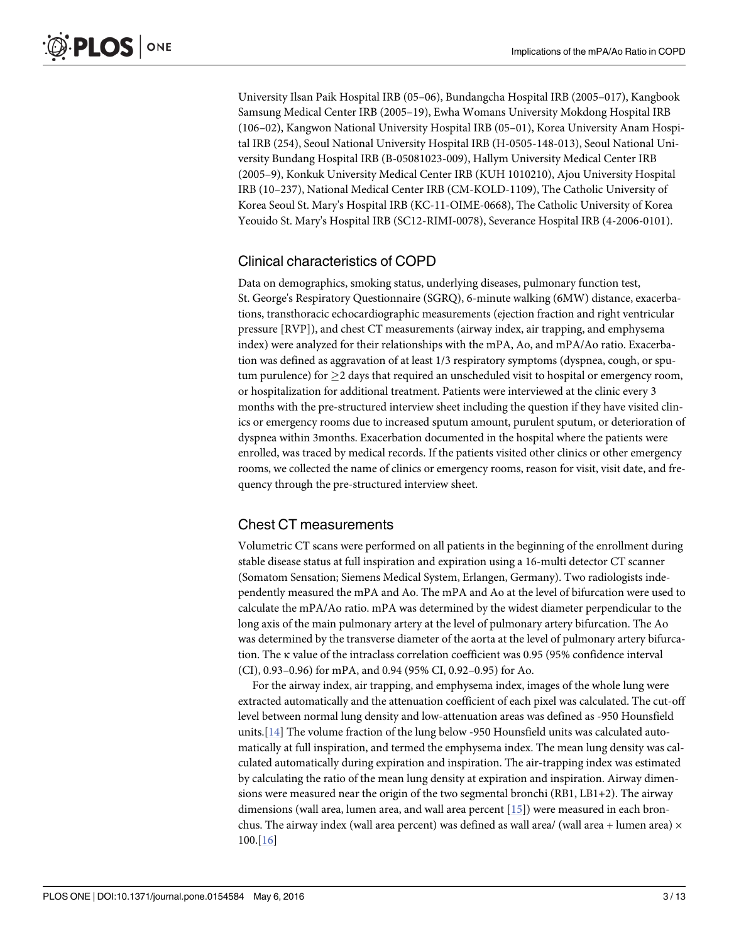<span id="page-2-0"></span>University Ilsan Paik Hospital IRB (05–06), Bundangcha Hospital IRB (2005–017), Kangbook Samsung Medical Center IRB (2005–19), Ewha Womans University Mokdong Hospital IRB (106–02), Kangwon National University Hospital IRB (05–01), Korea University Anam Hospital IRB (254), Seoul National University Hospital IRB (H-0505-148-013), Seoul National University Bundang Hospital IRB (B-05081023-009), Hallym University Medical Center IRB (2005–9), Konkuk University Medical Center IRB (KUH 1010210), Ajou University Hospital IRB (10–237), National Medical Center IRB (CM-KOLD-1109), The Catholic University of Korea Seoul St. Mary's Hospital IRB (KC-11-OIME-0668), The Catholic University of Korea Yeouido St. Mary's Hospital IRB (SC12-RIMI-0078), Severance Hospital IRB (4-2006-0101).

# Clinical characteristics of COPD

Data on demographics, smoking status, underlying diseases, pulmonary function test, St. George's Respiratory Questionnaire (SGRQ), 6-minute walking (6MW) distance, exacerbations, transthoracic echocardiographic measurements (ejection fraction and right ventricular pressure [RVP]), and chest CT measurements (airway index, air trapping, and emphysema index) were analyzed for their relationships with the mPA, Ao, and mPA/Ao ratio. Exacerbation was defined as aggravation of at least 1/3 respiratory symptoms (dyspnea, cough, or sputum purulence) for  $>$ 2 days that required an unscheduled visit to hospital or emergency room, or hospitalization for additional treatment. Patients were interviewed at the clinic every 3 months with the pre-structured interview sheet including the question if they have visited clinics or emergency rooms due to increased sputum amount, purulent sputum, or deterioration of dyspnea within 3months. Exacerbation documented in the hospital where the patients were enrolled, was traced by medical records. If the patients visited other clinics or other emergency rooms, we collected the name of clinics or emergency rooms, reason for visit, visit date, and frequency through the pre-structured interview sheet.

# Chest CT measurements

Volumetric CT scans were performed on all patients in the beginning of the enrollment during stable disease status at full inspiration and expiration using a 16-multi detector CT scanner (Somatom Sensation; Siemens Medical System, Erlangen, Germany). Two radiologists independently measured the mPA and Ao. The mPA and Ao at the level of bifurcation were used to calculate the mPA/Ao ratio. mPA was determined by the widest diameter perpendicular to the long axis of the main pulmonary artery at the level of pulmonary artery bifurcation. The Ao was determined by the transverse diameter of the aorta at the level of pulmonary artery bifurcation. The κ value of the intraclass correlation coefficient was 0.95 (95% confidence interval (CI), 0.93–0.96) for mPA, and 0.94 (95% CI, 0.92–0.95) for Ao.

For the airway index, air trapping, and emphysema index, images of the whole lung were extracted automatically and the attenuation coefficient of each pixel was calculated. The cut-off level between normal lung density and low-attenuation areas was defined as -950 Hounsfield units.[[14](#page-11-0)] The volume fraction of the lung below -950 Hounsfield units was calculated automatically at full inspiration, and termed the emphysema index. The mean lung density was calculated automatically during expiration and inspiration. The air-trapping index was estimated by calculating the ratio of the mean lung density at expiration and inspiration. Airway dimensions were measured near the origin of the two segmental bronchi (RB1, LB1+2). The airway dimensions (wall area, lumen area, and wall area percent [\[15\]](#page-11-0)) were measured in each bronchus. The airway index (wall area percent) was defined as wall area/ (wall area + lumen area)  $\times$ 100.[[16\]](#page-11-0)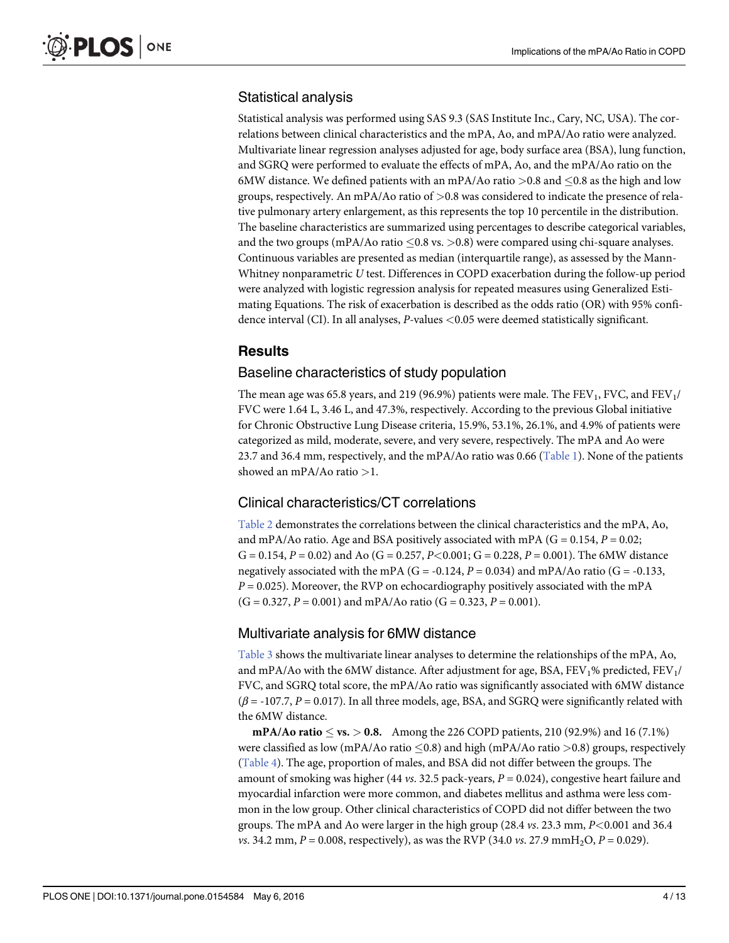# <span id="page-3-0"></span>Statistical analysis

Statistical analysis was performed using SAS 9.3 (SAS Institute Inc., Cary, NC, USA). The correlations between clinical characteristics and the mPA, Ao, and mPA/Ao ratio were analyzed. Multivariate linear regression analyses adjusted for age, body surface area (BSA), lung function, and SGRQ were performed to evaluate the effects of mPA, Ao, and the mPA/Ao ratio on the 6MW distance. We defined patients with an mPA/Ao ratio  $>0.8$  and  $\leq 0.8$  as the high and low groups, respectively. An mPA/Ao ratio of >0.8 was considered to indicate the presence of relative pulmonary artery enlargement, as this represents the top 10 percentile in the distribution. The baseline characteristics are summarized using percentages to describe categorical variables, and the two groups (mPA/Ao ratio  $\leq$ 0.8 vs.  $>$ 0.8) were compared using chi-square analyses. Continuous variables are presented as median (interquartile range), as assessed by the Mann-Whitney nonparametric U test. Differences in COPD exacerbation during the follow-up period were analyzed with logistic regression analysis for repeated measures using Generalized Estimating Equations. The risk of exacerbation is described as the odds ratio (OR) with 95% confidence interval (CI). In all analyses, P-values <0.05 were deemed statistically significant.

# Results

#### Baseline characteristics of study population

The mean age was 65.8 years, and 219 (96.9%) patients were male. The FEV<sub>1</sub>, FVC, and FEV<sub>1</sub>/ FVC were 1.64 L, 3.46 L, and 47.3%, respectively. According to the previous Global initiative for Chronic Obstructive Lung Disease criteria, 15.9%, 53.1%, 26.1%, and 4.9% of patients were categorized as mild, moderate, severe, and very severe, respectively. The mPA and Ao were 23.7 and 36.4 mm, respectively, and the mPA/Ao ratio was 0.66 [\(Table 1\)](#page-4-0). None of the patients showed an mPA/Ao ratio >1.

# Clinical characteristics/CT correlations

[Table 2](#page-5-0) demonstrates the correlations between the clinical characteristics and the mPA, Ao, and mPA/Ao ratio. Age and BSA positively associated with mPA ( $G = 0.154$ ,  $P = 0.02$ ; G = 0.154,  $P = 0.02$ ) and Ao (G = 0.257,  $P < 0.001$ ; G = 0.228,  $P = 0.001$ ). The 6MW distance negatively associated with the mPA (G = -0.124,  $P = 0.034$ ) and mPA/Ao ratio (G = -0.133,  $P = 0.025$ ). Moreover, the RVP on echocardiography positively associated with the mPA  $(G = 0.327, P = 0.001)$  and mPA/Ao ratio  $(G = 0.323, P = 0.001)$ .

# Multivariate analysis for 6MW distance

[Table 3](#page-6-0) shows the multivariate linear analyses to determine the relationships of the mPA, Ao, and mPA/Ao with the 6MW distance. After adjustment for age, BSA, FEV<sub>1</sub>% predicted, FEV<sub>1</sub>/ FVC, and SGRQ total score, the mPA/Ao ratio was significantly associated with 6MW distance  $(\beta = -107.7, P = 0.017)$ . In all three models, age, BSA, and SGRQ were significantly related with the 6MW distance.

 $\text{mPA/Ao ratio} \leq \text{vs.} > 0.8.$  Among the 226 COPD patients, 210 (92.9%) and 16 (7.1%) were classified as low (mPA/Ao ratio  $\leq$  0.8) and high (mPA/Ao ratio  $>$ 0.8) groups, respectively [\(Table 4\)](#page-7-0). The age, proportion of males, and BSA did not differ between the groups. The amount of smoking was higher (44 vs. 32.5 pack-years,  $P = 0.024$ ), congestive heart failure and myocardial infarction were more common, and diabetes mellitus and asthma were less common in the low group. Other clinical characteristics of COPD did not differ between the two groups. The mPA and Ao were larger in the high group (28.4 vs. 23.3 mm, P<0.001 and 36.4 vs. 34.2 mm,  $P = 0.008$ , respectively), as was the RVP (34.0 vs. 27.9 mmH<sub>2</sub>O,  $P = 0.029$ ).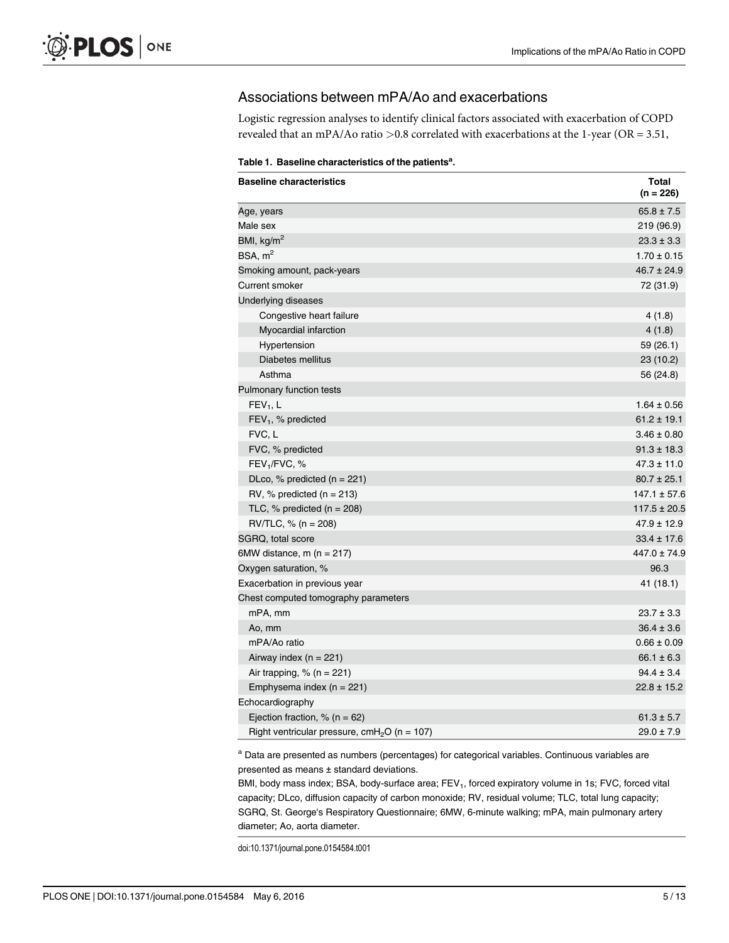# <span id="page-4-0"></span>Associations between mPA/Ao and exacerbations

Logistic regression analyses to identify clinical factors associated with exacerbation of COPD revealed that an mPA/Ao ratio >0.8 correlated with exacerbations at the 1-year (OR = 3.51,

|  |  | Table 1. Baseline characteristics of the patients <sup>a</sup> . |  |  |
|--|--|------------------------------------------------------------------|--|--|
|--|--|------------------------------------------------------------------|--|--|

| <b>Baseline characteristics</b>                          | <b>Total</b><br>$(n = 226)$ |
|----------------------------------------------------------|-----------------------------|
| Age, years                                               | $65.8 \pm 7.5$              |
| Male sex                                                 | 219 (96.9)                  |
| BMI, $\text{kg/m}^2$                                     | $23.3 \pm 3.3$              |
| BSA, m <sup>2</sup>                                      | $1.70 \pm 0.15$             |
| Smoking amount, pack-years                               | $46.7 \pm 24.9$             |
| <b>Current smoker</b>                                    | 72 (31.9)                   |
| Underlying diseases                                      |                             |
| Congestive heart failure                                 | 4(1.8)                      |
| Myocardial infarction                                    | 4(1.8)                      |
| Hypertension                                             | 59 (26.1)                   |
| Diabetes mellitus                                        | 23(10.2)                    |
| Asthma                                                   | 56 (24.8)                   |
| Pulmonary function tests                                 |                             |
| $FEV1$ , L                                               | $1.64 \pm 0.56$             |
| $FEV1$ , % predicted                                     | $61.2 \pm 19.1$             |
| FVC, L                                                   | $3.46 \pm 0.80$             |
| FVC, % predicted                                         | $91.3 \pm 18.3$             |
| FEV <sub>1</sub> /FVC, %                                 | $47.3 \pm 11.0$             |
| DLco, $%$ predicted (n = 221)                            | $80.7 \pm 25.1$             |
| RV, % predicted ( $n = 213$ )                            | $147.1 \pm 57.6$            |
| TLC, $%$ predicted (n = 208)                             | $117.5 \pm 20.5$            |
| $\text{RV/TLC}, % (n = 208)$                             | $47.9 \pm 12.9$             |
| SGRQ, total score                                        | $33.4 \pm 17.6$             |
| 6MW distance, $m(n = 217)$                               | $447.0 \pm 74.9$            |
| Oxygen saturation, %                                     | 96.3                        |
| Exacerbation in previous year                            | 41 (18.1)                   |
| Chest computed tomography parameters                     |                             |
| mPA, mm                                                  | $23.7 \pm 3.3$              |
| Ao, mm                                                   | $36.4 \pm 3.6$              |
| mPA/Ao ratio                                             | $0.66 \pm 0.09$             |
| Airway index $(n = 221)$                                 | $66.1 \pm 6.3$              |
| Air trapping, $% (n = 221)$                              | $94.4 \pm 3.4$              |
| Emphysema index $(n = 221)$                              | $22.8 \pm 15.2$             |
| Echocardiography                                         |                             |
| Ejection fraction, $% (n = 62)$                          | $61.3 \pm 5.7$              |
| Right ventricular pressure, cmH <sub>2</sub> O (n = 107) | $29.0 \pm 7.9$              |

<sup>a</sup> Data are presented as numbers (percentages) for categorical variables. Continuous variables are presented as means ± standard deviations.

BMI, body mass index; BSA, body-surface area; FEV<sub>1</sub>, forced expiratory volume in 1s; FVC, forced vital capacity; DLco, diffusion capacity of carbon monoxide; RV, residual volume; TLC, total lung capacity; SGRQ, St. George's Respiratory Questionnaire; 6MW, 6-minute walking; mPA, main pulmonary artery diameter; Ao, aorta diameter.

doi:10.1371/journal.pone.0154584.t001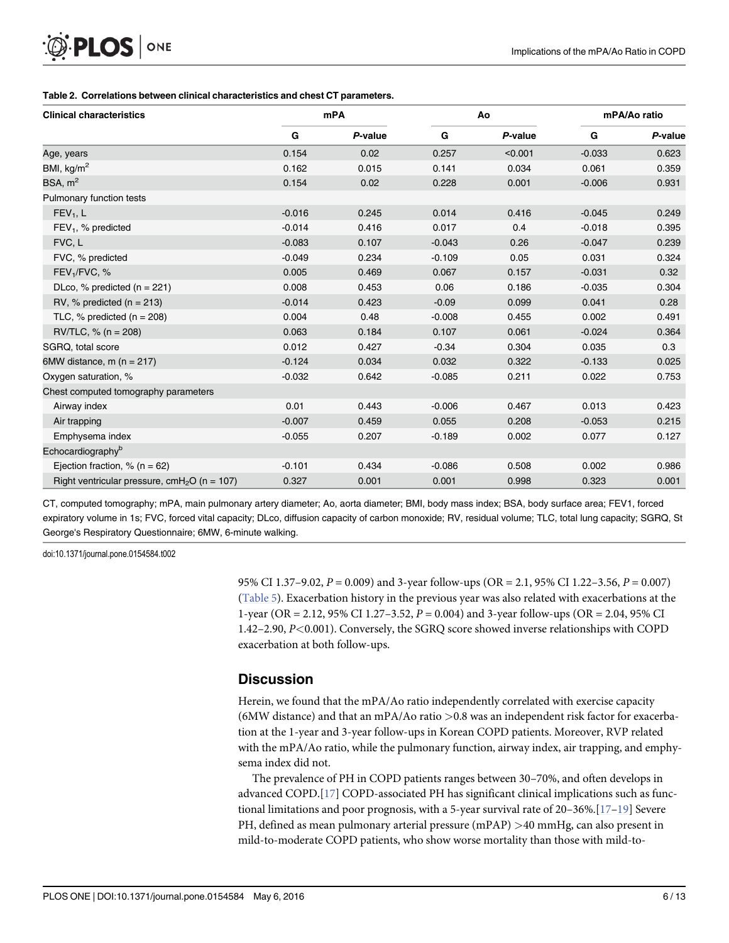#### [Table 2.](#page-3-0) Correlations between clinical characteristics and chest CT parameters.

<span id="page-5-0"></span> $\mathsf{PLOS}\hspace{1pt}$  one

| <b>Clinical characteristics</b>                          | <b>mPA</b> |         | Ao       |         | mPA/Ao ratio |         |
|----------------------------------------------------------|------------|---------|----------|---------|--------------|---------|
|                                                          | G          | P-value | G        | P-value | G            | P-value |
| Age, years                                               | 0.154      | 0.02    | 0.257    | < 0.001 | $-0.033$     | 0.623   |
| BMI, kg/m <sup>2</sup>                                   | 0.162      | 0.015   | 0.141    | 0.034   | 0.061        | 0.359   |
| BSA, m <sup>2</sup>                                      | 0.154      | 0.02    | 0.228    | 0.001   | $-0.006$     | 0.931   |
| Pulmonary function tests                                 |            |         |          |         |              |         |
| $FEV1$ , L                                               | $-0.016$   | 0.245   | 0.014    | 0.416   | $-0.045$     | 0.249   |
| $FEV1$ , % predicted                                     | $-0.014$   | 0.416   | 0.017    | 0.4     | $-0.018$     | 0.395   |
| FVC, L                                                   | $-0.083$   | 0.107   | $-0.043$ | 0.26    | $-0.047$     | 0.239   |
| FVC, % predicted                                         | $-0.049$   | 0.234   | $-0.109$ | 0.05    | 0.031        | 0.324   |
| FEV <sub>1</sub> /FVC, %                                 | 0.005      | 0.469   | 0.067    | 0.157   | $-0.031$     | 0.32    |
| DLco, % predicted ( $n = 221$ )                          | 0.008      | 0.453   | 0.06     | 0.186   | $-0.035$     | 0.304   |
| RV, % predicted ( $n = 213$ )                            | $-0.014$   | 0.423   | $-0.09$  | 0.099   | 0.041        | 0.28    |
| TLC, $%$ predicted (n = 208)                             | 0.004      | 0.48    | $-0.008$ | 0.455   | 0.002        | 0.491   |
| $RV/TLC$ , % (n = 208)                                   | 0.063      | 0.184   | 0.107    | 0.061   | $-0.024$     | 0.364   |
| SGRQ, total score                                        | 0.012      | 0.427   | $-0.34$  | 0.304   | 0.035        | 0.3     |
| 6MW distance, m ( $n = 217$ )                            | $-0.124$   | 0.034   | 0.032    | 0.322   | $-0.133$     | 0.025   |
| Oxygen saturation, %                                     | $-0.032$   | 0.642   | $-0.085$ | 0.211   | 0.022        | 0.753   |
| Chest computed tomography parameters                     |            |         |          |         |              |         |
| Airway index                                             | 0.01       | 0.443   | $-0.006$ | 0.467   | 0.013        | 0.423   |
| Air trapping                                             | $-0.007$   | 0.459   | 0.055    | 0.208   | $-0.053$     | 0.215   |
| Emphysema index                                          | $-0.055$   | 0.207   | $-0.189$ | 0.002   | 0.077        | 0.127   |
| Echocardiography <sup>b</sup>                            |            |         |          |         |              |         |
| Ejection fraction, $% (n = 62)$                          | $-0.101$   | 0.434   | $-0.086$ | 0.508   | 0.002        | 0.986   |
| Right ventricular pressure, cmH <sub>2</sub> O (n = 107) | 0.327      | 0.001   | 0.001    | 0.998   | 0.323        | 0.001   |

CT, computed tomography; mPA, main pulmonary artery diameter; Ao, aorta diameter; BMI, body mass index; BSA, body surface area; FEV1, forced expiratory volume in 1s; FVC, forced vital capacity; DLco, diffusion capacity of carbon monoxide; RV, residual volume; TLC, total lung capacity; SGRQ, St George's Respiratory Questionnaire; 6MW, 6-minute walking.

doi:10.1371/journal.pone.0154584.t002

95% CI 1.37–9.02, P = 0.009) and 3-year follow-ups (OR = 2.1, 95% CI 1.22–3.56, P = 0.007) [\(Table 5\)](#page-8-0). Exacerbation history in the previous year was also related with exacerbations at the 1-year (OR = 2.12, 95% CI 1.27–3.52, P = 0.004) and 3-year follow-ups (OR = 2.04, 95% CI 1.42–2.90, P<0.001). Conversely, the SGRQ score showed inverse relationships with COPD exacerbation at both follow-ups.

#### **Discussion**

Herein, we found that the mPA/Ao ratio independently correlated with exercise capacity (6MW distance) and that an mPA/Ao ratio  $>0.8$  was an independent risk factor for exacerbation at the 1-year and 3-year follow-ups in Korean COPD patients. Moreover, RVP related with the mPA/Ao ratio, while the pulmonary function, airway index, air trapping, and emphysema index did not.

The prevalence of PH in COPD patients ranges between 30–70%, and often develops in advanced COPD.[\[17\]](#page-11-0) COPD-associated PH has significant clinical implications such as functional limitations and poor prognosis, with a 5-year survival rate of 20–36%. $[17-19]$  $[17-19]$  $[17-19]$  $[17-19]$  $[17-19]$  Severe PH, defined as mean pulmonary arterial pressure (mPAP) >40 mmHg, can also present in mild-to-moderate COPD patients, who show worse mortality than those with mild-to-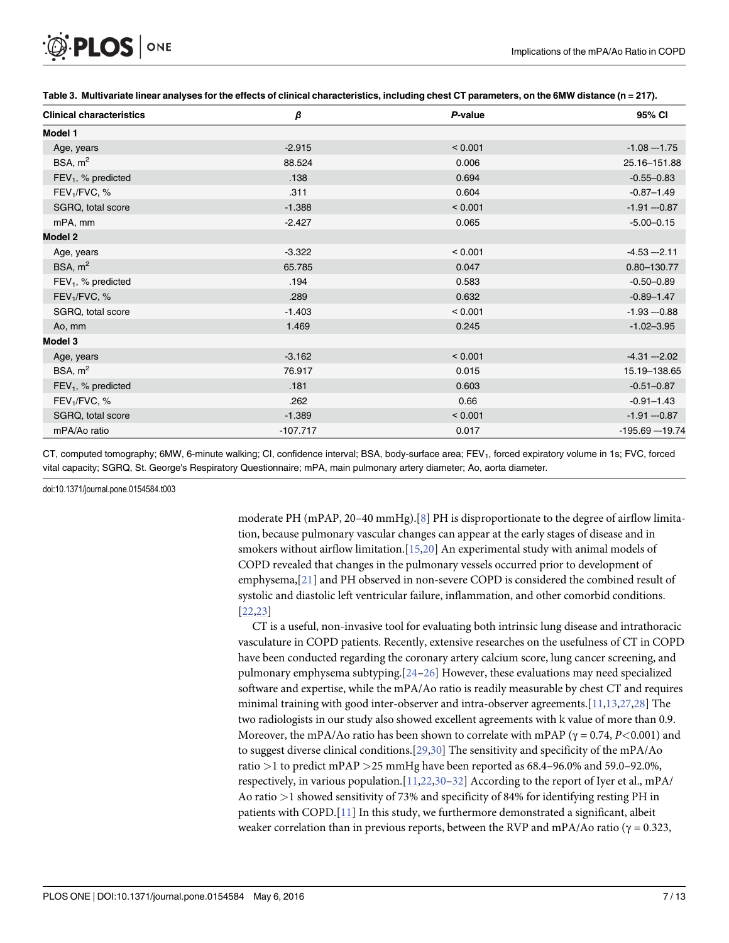<span id="page-6-0"></span>

| <b>Clinical characteristics</b> | β          | P-value      | 95% CI            |
|---------------------------------|------------|--------------|-------------------|
| Model 1                         |            |              |                   |
| Age, years                      | $-2.915$   | < 0.001      | $-1.08 - 1.75$    |
| BSA, $m2$                       | 88.524     | 0.006        | 25.16-151.88      |
| $FEV1$ , % predicted            | .138       | 0.694        | $-0.55 - 0.83$    |
| FEV <sub>1</sub> /FVC, %        | .311       | 0.604        | $-0.87 - 1.49$    |
| SGRQ, total score               | $-1.388$   | < 0.001      | $-1.91 - 0.87$    |
| mPA, mm                         | $-2.427$   | 0.065        | $-5.00 - 0.15$    |
| <b>Model 2</b>                  |            |              |                   |
| Age, years                      | $-3.322$   | ${}< 0.001$  | $-4.53 - 2.11$    |
| BSA, $m^2$                      | 65.785     | 0.047        | 0.80-130.77       |
| $FEV1$ , % predicted            | .194       | 0.583        | $-0.50 - 0.89$    |
| FEV <sub>1</sub> /FVC, %        | .289       | 0.632        | $-0.89 - 1.47$    |
| SGRQ, total score               | $-1.403$   | < 0.001      | $-1.93 - 0.88$    |
| Ao, mm                          | 1.469      | 0.245        | $-1.02 - 3.95$    |
| Model 3                         |            |              |                   |
| Age, years                      | $-3.162$   | ${}_{0.001}$ | $-4.31 - 2.02$    |
| BSA, $m2$                       | 76.917     | 0.015        | 15.19-138.65      |
| $FEV1$ , % predicted            | .181       | 0.603        | $-0.51 - 0.87$    |
| FEV <sub>1</sub> /FVC, %        | .262       | 0.66         | $-0.91 - 1.43$    |
| SGRQ, total score               | $-1.389$   | < 0.001      | $-1.91 - 0.87$    |
| mPA/Ao ratio                    | $-107.717$ | 0.017        | $-195.69 - 19.74$ |

[Table 3.](#page-3-0) Multivariate linear analyses for the effects of clinical characteristics, including chest CT parameters, on the 6MW distance (n = 217).

CT, computed tomography; 6MW, 6-minute walking; CI, confidence interval; BSA, body-surface area; FEV<sub>1</sub>, forced expiratory volume in 1s; FVC, forced vital capacity; SGRQ, St. George's Respiratory Questionnaire; mPA, main pulmonary artery diameter; Ao, aorta diameter.

doi:10.1371/journal.pone.0154584.t003

moderate PH (mPAP, 20–40 mmHg).[\[8](#page-10-0)] PH is disproportionate to the degree of airflow limitation, because pulmonary vascular changes can appear at the early stages of disease and in smokers without airflow limitation. $[15,20]$  $[15,20]$  An experimental study with animal models of COPD revealed that changes in the pulmonary vessels occurred prior to development of emphysema,[\[21\]](#page-11-0) and PH observed in non-severe COPD is considered the combined result of systolic and diastolic left ventricular failure, inflammation, and other comorbid conditions. [\[22,23\]](#page-11-0)

CT is a useful, non-invasive tool for evaluating both intrinsic lung disease and intrathoracic vasculature in COPD patients. Recently, extensive researches on the usefulness of CT in COPD have been conducted regarding the coronary artery calcium score, lung cancer screening, and pulmonary emphysema subtyping.[\[24](#page-11-0)–[26](#page-11-0)] However, these evaluations may need specialized software and expertise, while the mPA/Ao ratio is readily measurable by chest CT and requires minimal training with good inter-observer and intra-observer agreements.[\[11,13,](#page-10-0)[27](#page-11-0),[28](#page-11-0)] The two radiologists in our study also showed excellent agreements with k value of more than 0.9. Moreover, the mPA/Ao ratio has been shown to correlate with mPAP ( $\gamma = 0.74$ , P<0.001) and to suggest diverse clinical conditions.[[29](#page-11-0),[30](#page-11-0)] The sensitivity and specificity of the mPA/Ao ratio >1 to predict mPAP >25 mmHg have been reported as 68.4–96.0% and 59.0–92.0%, respectively, in various population.  $[11,22,30-32]$  $[11,22,30-32]$  $[11,22,30-32]$  $[11,22,30-32]$  $[11,22,30-32]$  $[11,22,30-32]$  According to the report of Iyer et al., mPA/ Ao ratio >1 showed sensitivity of 73% and specificity of 84% for identifying resting PH in patients with COPD. $[11]$  In this study, we furthermore demonstrated a significant, albeit weaker correlation than in previous reports, between the RVP and mPA/Ao ratio ( $\gamma = 0.323$ ,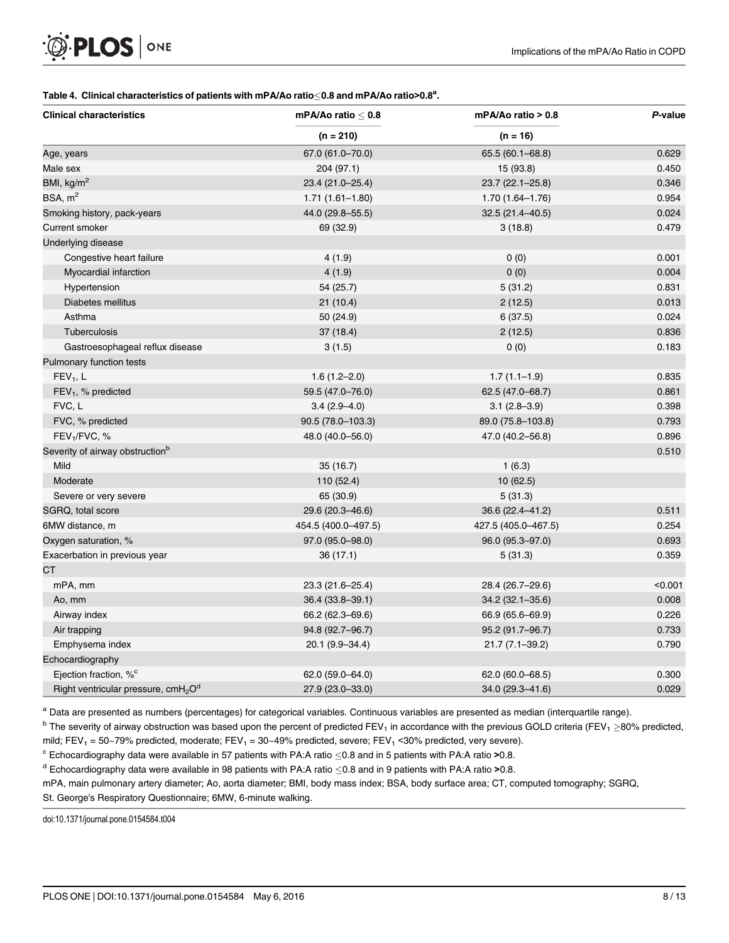#### <span id="page-7-0"></span>[Table 4.](#page-3-0) Clinical characteristics of patients with mPA/Ao ratio $\leq$ 0.8 and mPA/Ao ratio>0.8<sup>a</sup>.

| <b>Clinical characteristics</b>                             | mPA/Ao ratio $\leq 0.8$ | mPA/Ao ratio > 0.8  | P-value |  |
|-------------------------------------------------------------|-------------------------|---------------------|---------|--|
|                                                             | $(n = 210)$             | $(n = 16)$          |         |  |
| Age, years                                                  | 67.0 (61.0-70.0)        | 65.5 (60.1-68.8)    | 0.629   |  |
| Male sex                                                    | 204 (97.1)              | 15 (93.8)           | 0.450   |  |
| BMI, kg/m <sup>2</sup>                                      | 23.4 (21.0-25.4)        | 23.7 (22.1-25.8)    | 0.346   |  |
| BSA, m <sup>2</sup>                                         | $1.71(1.61 - 1.80)$     | $1.70(1.64 - 1.76)$ | 0.954   |  |
| Smoking history, pack-years                                 | 44.0 (29.8-55.5)        | 32.5 (21.4-40.5)    | 0.024   |  |
| Current smoker                                              | 69 (32.9)               | 3(18.8)             | 0.479   |  |
| Underlying disease                                          |                         |                     |         |  |
| Congestive heart failure                                    | 4 (1.9)                 | 0(0)                | 0.001   |  |
| Myocardial infarction                                       | 4(1.9)                  | 0(0)                | 0.004   |  |
| Hypertension                                                | 54 (25.7)               | 5(31.2)             | 0.831   |  |
| Diabetes mellitus                                           | 21(10.4)                | 2(12.5)             | 0.013   |  |
| Asthma                                                      | 50(24.9)                | 6(37.5)             | 0.024   |  |
| Tuberculosis                                                | 37(18.4)                | 2(12.5)             | 0.836   |  |
| Gastroesophageal reflux disease                             | 3(1.5)                  | 0(0)                | 0.183   |  |
| Pulmonary function tests                                    |                         |                     |         |  |
| $FEV1$ , L                                                  | $1.6(1.2 - 2.0)$        | $1.7(1.1-1.9)$      | 0.835   |  |
| FEV <sub>1</sub> , % predicted                              | 59.5 (47.0-76.0)        | 62.5 (47.0-68.7)    | 0.861   |  |
| FVC, L                                                      | $3.4(2.9 - 4.0)$        | $3.1(2.8-3.9)$      | 0.398   |  |
| FVC, % predicted                                            | 90.5 (78.0-103.3)       | 89.0 (75.8-103.8)   | 0.793   |  |
| FEV <sub>1</sub> /FVC, %                                    | 48.0 (40.0-56.0)        | 47.0 (40.2-56.8)    | 0.896   |  |
| Severity of airway obstruction <sup>b</sup>                 |                         |                     | 0.510   |  |
| Mild                                                        | 35(16.7)                | 1(6.3)              |         |  |
| Moderate                                                    | 110 (52.4)              | 10(62.5)            |         |  |
| Severe or very severe                                       | 65 (30.9)               | 5(31.3)             |         |  |
| SGRQ, total score                                           | 29.6 (20.3-46.6)        | 36.6 (22.4-41.2)    | 0.511   |  |
| 6MW distance, m                                             | 454.5 (400.0-497.5)     | 427.5 (405.0-467.5) | 0.254   |  |
| Oxygen saturation, %                                        | 97.0 (95.0-98.0)        | 96.0 (95.3-97.0)    | 0.693   |  |
| Exacerbation in previous year                               | 36(17.1)                | 5(31.3)             | 0.359   |  |
| СT                                                          |                         |                     |         |  |
| mPA, mm                                                     | 23.3 (21.6-25.4)        | 28.4 (26.7-29.6)    | < 0.001 |  |
| Ao, mm                                                      | 36.4 (33.8-39.1)        | 34.2 (32.1-35.6)    | 0.008   |  |
| Airway index                                                | 66.2 (62.3-69.6)        | 66.9 (65.6-69.9)    | 0.226   |  |
| Air trapping                                                | 94.8 (92.7-96.7)        | 95.2 (91.7-96.7)    | 0.733   |  |
| Emphysema index                                             | 20.1 (9.9-34.4)         | $21.7(7.1 - 39.2)$  | 0.790   |  |
| Echocardiography                                            |                         |                     |         |  |
| Ejection fraction, % <sup>c</sup>                           | 62.0 (59.0-64.0)        | 62.0 (60.0–68.5)    | 0.300   |  |
| Right ventricular pressure, cmH <sub>2</sub> O <sup>d</sup> | 27.9 (23.0-33.0)        | 34.0 (29.3-41.6)    | 0.029   |  |

a Data are presented as numbers (percentages) for categorical variables. Continuous variables are presented as median (interquartile range).

 $b$  The severity of airway obstruction was based upon the percent of predicted FEV<sub>1</sub> in accordance with the previous GOLD criteria (FEV<sub>1</sub>  $\geq$ 80% predicted, mild; FEV<sub>1</sub> = 50~79% predicted, moderate; FEV<sub>1</sub> = 30~49% predicted, severe; FEV<sub>1</sub> < 30% predicted, very severe).

 $\degree$  Echocardiography data were available in 57 patients with PA:A ratio <0.8 and in 5 patients with PA:A ratio >0.8.

<sup>d</sup> Echocardiography data were available in 98 patients with PA:A ratio  $\leq$ 0.8 and in 9 patients with PA:A ratio >0.8.

mPA, main pulmonary artery diameter; Ao, aorta diameter; BMI, body mass index; BSA, body surface area; CT, computed tomography; SGRQ, St. George's Respiratory Questionnaire; 6MW, 6-minute walking.

doi:10.1371/journal.pone.0154584.t004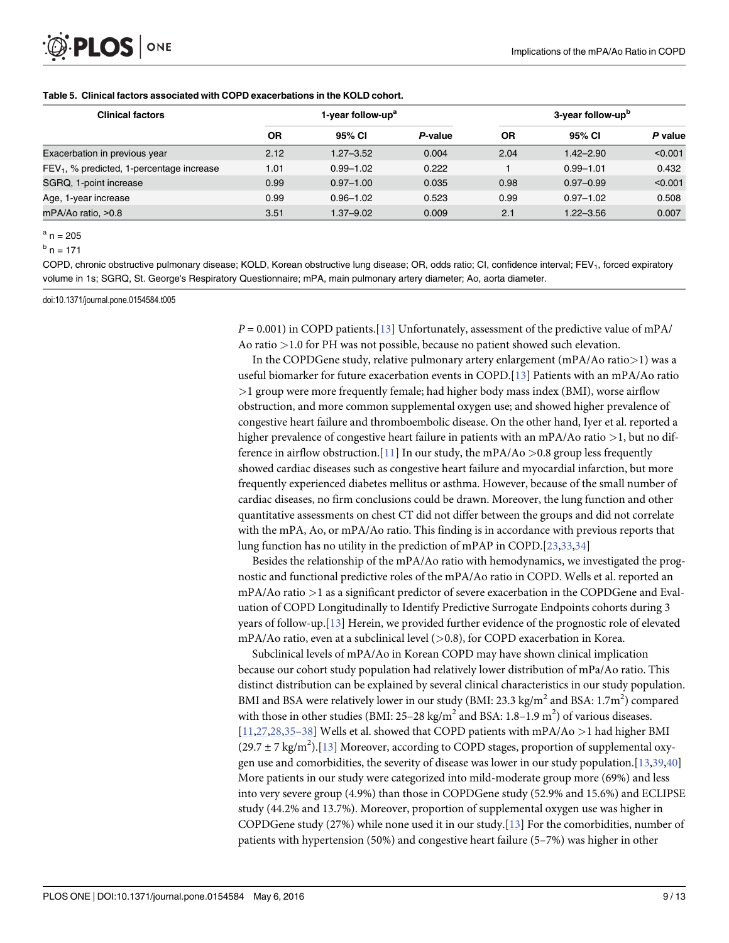# <span id="page-8-0"></span>PLOS ONE

#### [Table 5.](#page-5-0) Clinical factors associated with COPD exacerbations in the KOLD cohort.

| <b>Clinical factors</b>                     |      | 1-year follow-up <sup>a</sup> |         |           | 3-year follow-up <sup>b</sup> |         |  |
|---------------------------------------------|------|-------------------------------|---------|-----------|-------------------------------|---------|--|
|                                             | ΟR   | 95% CI                        | P-value | <b>OR</b> | 95% CI                        | P value |  |
| Exacerbation in previous year               | 2.12 | $1.27 - 3.52$                 | 0.004   | 2.04      | $1.42 - 2.90$                 | < 0.001 |  |
| $FEV1$ , % predicted, 1-percentage increase | 1.01 | $0.99 - 1.02$                 | 0.222   |           | $0.99 - 1.01$                 | 0.432   |  |
| SGRQ, 1-point increase                      | 0.99 | $0.97 - 1.00$                 | 0.035   | 0.98      | $0.97 - 0.99$                 | < 0.001 |  |
| Age, 1-year increase                        | 0.99 | $0.96 - 1.02$                 | 0.523   | 0.99      | $0.97 - 1.02$                 | 0.508   |  |
| mPA/Ao ratio, >0.8                          | 3.51 | $1.37 - 9.02$                 | 0.009   | 2.1       | $1.22 - 3.56$                 | 0.007   |  |

 $a$  n = 205

 $<sup>b</sup>$  n = 171</sup>

COPD, chronic obstructive pulmonary disease; KOLD, Korean obstructive lung disease; OR, odds ratio; CI, confidence interval; FEV<sub>1</sub>, forced expiratory volume in 1s; SGRQ, St. George's Respiratory Questionnaire; mPA, main pulmonary artery diameter; Ao, aorta diameter.

doi:10.1371/journal.pone.0154584.t005

 $P = 0.001$ ) in COPD patients. [\[13\]](#page-10-0) Unfortunately, assessment of the predictive value of mPA/ Ao ratio >1.0 for PH was not possible, because no patient showed such elevation.

In the COPDGene study, relative pulmonary artery enlargement (mPA/Ao ratio>1) was a useful biomarker for future exacerbation events in COPD.[[13](#page-10-0)] Patients with an mPA/Ao ratio >1 group were more frequently female; had higher body mass index (BMI), worse airflow obstruction, and more common supplemental oxygen use; and showed higher prevalence of congestive heart failure and thromboembolic disease. On the other hand, Iyer et al. reported a higher prevalence of congestive heart failure in patients with an mPA/Ao ratio >1, but no dif-ference in airflow obstruction. [[11](#page-10-0)] In our study, the mPA/Ao  $>0.8$  group less frequently showed cardiac diseases such as congestive heart failure and myocardial infarction, but more frequently experienced diabetes mellitus or asthma. However, because of the small number of cardiac diseases, no firm conclusions could be drawn. Moreover, the lung function and other quantitative assessments on chest CT did not differ between the groups and did not correlate with the mPA, Ao, or mPA/Ao ratio. This finding is in accordance with previous reports that lung function has no utility in the prediction of mPAP in COPD.[\[23,33,](#page-11-0)[34\]](#page-12-0)

Besides the relationship of the mPA/Ao ratio with hemodynamics, we investigated the prognostic and functional predictive roles of the mPA/Ao ratio in COPD. Wells et al. reported an mPA/Ao ratio >1 as a significant predictor of severe exacerbation in the COPDGene and Evaluation of COPD Longitudinally to Identify Predictive Surrogate Endpoints cohorts during 3 years of follow-up.[\[13\]](#page-10-0) Herein, we provided further evidence of the prognostic role of elevated mPA/Ao ratio, even at a subclinical level  $(>0.8)$ , for COPD exacerbation in Korea.

Subclinical levels of mPA/Ao in Korean COPD may have shown clinical implication because our cohort study population had relatively lower distribution of mPa/Ao ratio. This distinct distribution can be explained by several clinical characteristics in our study population. BMI and BSA were relatively lower in our study (BMI: 23.3 kg/m<sup>2</sup> and BSA: 1.7m<sup>2</sup>) compared with those in other studies (BMI: 25–28 kg/m<sup>2</sup> and BSA: 1.8–1.9 m<sup>2</sup>) of various diseases.  $[11,27,28,35-38]$  $[11,27,28,35-38]$  $[11,27,28,35-38]$  $[11,27,28,35-38]$  $[11,27,28,35-38]$  $[11,27,28,35-38]$  Wells et al. showed that COPD patients with mPA/Ao >1 had higher BMI  $(29.7 \pm 7 \text{ kg/m}^2)$ . [[13](#page-10-0)] Moreover, according to COPD stages, proportion of supplemental oxygen use and comorbidities, the severity of disease was lower in our study population.[\[13,](#page-10-0)[39,40](#page-12-0)] More patients in our study were categorized into mild-moderate group more (69%) and less into very severe group (4.9%) than those in COPDGene study (52.9% and 15.6%) and ECLIPSE study (44.2% and 13.7%). Moreover, proportion of supplemental oxygen use was higher in COPDGene study (27%) while none used it in our study.[[13](#page-10-0)] For the comorbidities, number of patients with hypertension (50%) and congestive heart failure (5–7%) was higher in other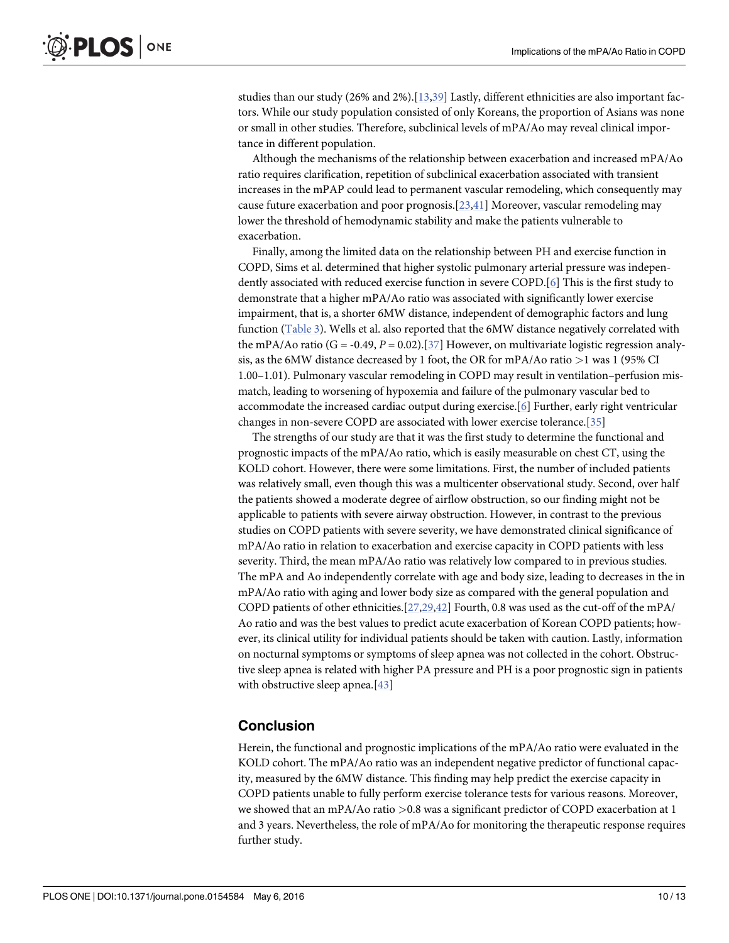<span id="page-9-0"></span>studies than our study (26% and 2%).[\[13](#page-10-0)[,39\]](#page-12-0) Lastly, different ethnicities are also important factors. While our study population consisted of only Koreans, the proportion of Asians was none or small in other studies. Therefore, subclinical levels of mPA/Ao may reveal clinical importance in different population.

Although the mechanisms of the relationship between exacerbation and increased mPA/Ao ratio requires clarification, repetition of subclinical exacerbation associated with transient increases in the mPAP could lead to permanent vascular remodeling, which consequently may cause future exacerbation and poor prognosis.[[23](#page-11-0),[41](#page-12-0)] Moreover, vascular remodeling may lower the threshold of hemodynamic stability and make the patients vulnerable to exacerbation.

Finally, among the limited data on the relationship between PH and exercise function in COPD, Sims et al. determined that higher systolic pulmonary arterial pressure was independently associated with reduced exercise function in severe COPD.[\[6](#page-10-0)] This is the first study to demonstrate that a higher mPA/Ao ratio was associated with significantly lower exercise impairment, that is, a shorter 6MW distance, independent of demographic factors and lung function [\(Table 3\)](#page-6-0). Wells et al. also reported that the 6MW distance negatively correlated with the mPA/Ao ratio (G = -0.49, P = 0.02).[[37](#page-12-0)] However, on multivariate logistic regression analysis, as the 6MW distance decreased by 1 foot, the OR for mPA/Ao ratio >1 was 1 (95% CI 1.00–1.01). Pulmonary vascular remodeling in COPD may result in ventilation–perfusion mismatch, leading to worsening of hypoxemia and failure of the pulmonary vascular bed to accommodate the increased cardiac output during exercise.[[6\]](#page-10-0) Further, early right ventricular changes in non-severe COPD are associated with lower exercise tolerance.[[35](#page-12-0)]

The strengths of our study are that it was the first study to determine the functional and prognostic impacts of the mPA/Ao ratio, which is easily measurable on chest CT, using the KOLD cohort. However, there were some limitations. First, the number of included patients was relatively small, even though this was a multicenter observational study. Second, over half the patients showed a moderate degree of airflow obstruction, so our finding might not be applicable to patients with severe airway obstruction. However, in contrast to the previous studies on COPD patients with severe severity, we have demonstrated clinical significance of mPA/Ao ratio in relation to exacerbation and exercise capacity in COPD patients with less severity. Third, the mean mPA/Ao ratio was relatively low compared to in previous studies. The mPA and Ao independently correlate with age and body size, leading to decreases in the in mPA/Ao ratio with aging and lower body size as compared with the general population and COPD patients of other ethnicities.[[27,29](#page-11-0)[,42\]](#page-12-0) Fourth, 0.8 was used as the cut-off of the mPA/ Ao ratio and was the best values to predict acute exacerbation of Korean COPD patients; however, its clinical utility for individual patients should be taken with caution. Lastly, information on nocturnal symptoms or symptoms of sleep apnea was not collected in the cohort. Obstructive sleep apnea is related with higher PA pressure and PH is a poor prognostic sign in patients with obstructive sleep apnea.<sup>[\[43\]](#page-12-0)</sup>

#### Conclusion

Herein, the functional and prognostic implications of the mPA/Ao ratio were evaluated in the KOLD cohort. The mPA/Ao ratio was an independent negative predictor of functional capacity, measured by the 6MW distance. This finding may help predict the exercise capacity in COPD patients unable to fully perform exercise tolerance tests for various reasons. Moreover, we showed that an mPA/Ao ratio >0.8 was a significant predictor of COPD exacerbation at 1 and 3 years. Nevertheless, the role of mPA/Ao for monitoring the therapeutic response requires further study.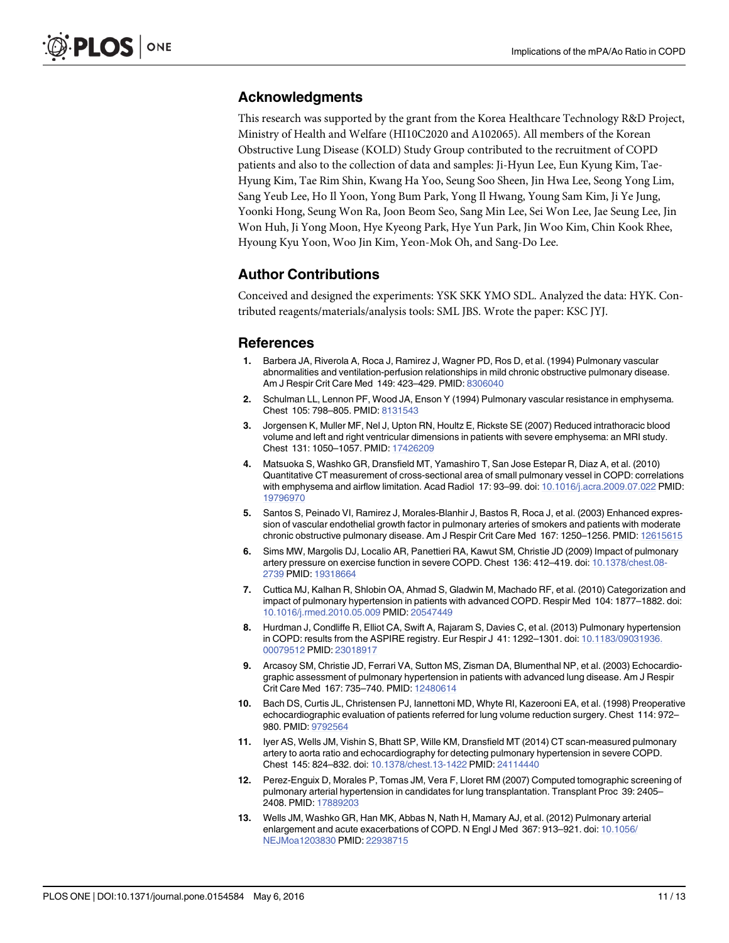#### <span id="page-10-0"></span>Acknowledgments

This research was supported by the grant from the Korea Healthcare Technology R&D Project, Ministry of Health and Welfare (HI10C2020 and A102065). All members of the Korean Obstructive Lung Disease (KOLD) Study Group contributed to the recruitment of COPD patients and also to the collection of data and samples: Ji-Hyun Lee, Eun Kyung Kim, Tae-Hyung Kim, Tae Rim Shin, Kwang Ha Yoo, Seung Soo Sheen, Jin Hwa Lee, Seong Yong Lim, Sang Yeub Lee, Ho Il Yoon, Yong Bum Park, Yong Il Hwang, Young Sam Kim, Ji Ye Jung, Yoonki Hong, Seung Won Ra, Joon Beom Seo, Sang Min Lee, Sei Won Lee, Jae Seung Lee, Jin Won Huh, Ji Yong Moon, Hye Kyeong Park, Hye Yun Park, Jin Woo Kim, Chin Kook Rhee, Hyoung Kyu Yoon, Woo Jin Kim, Yeon-Mok Oh, and Sang-Do Lee.

# Author Contributions

Conceived and designed the experiments: YSK SKK YMO SDL. Analyzed the data: HYK. Contributed reagents/materials/analysis tools: SML JBS. Wrote the paper: KSC JYJ.

#### References

- [1.](#page-1-0) Barbera JA, Riverola A, Roca J, Ramirez J, Wagner PD, Ros D, et al. (1994) Pulmonary vascular abnormalities and ventilation-perfusion relationships in mild chronic obstructive pulmonary disease. Am J Respir Crit Care Med 149: 423–429. PMID: [8306040](http://www.ncbi.nlm.nih.gov/pubmed/8306040)
- 2. Schulman LL, Lennon PF, Wood JA, Enson Y (1994) Pulmonary vascular resistance in emphysema. Chest 105: 798–805. PMID: [8131543](http://www.ncbi.nlm.nih.gov/pubmed/8131543)
- [3.](#page-1-0) Jorgensen K, Muller MF, Nel J, Upton RN, Houltz E, Rickste SE (2007) Reduced intrathoracic blood volume and left and right ventricular dimensions in patients with severe emphysema: an MRI study. Chest 131: 1050–1057. PMID: [17426209](http://www.ncbi.nlm.nih.gov/pubmed/17426209)
- [4.](#page-1-0) Matsuoka S, Washko GR, Dransfield MT, Yamashiro T, San Jose Estepar R, Diaz A, et al. (2010) Quantitative CT measurement of cross-sectional area of small pulmonary vessel in COPD: correlations with emphysema and airflow limitation. Acad Radiol 17: 93-99. doi: [10.1016/j.acra.2009.07.022](http://dx.doi.org/10.1016/j.acra.2009.07.022) PMID: [19796970](http://www.ncbi.nlm.nih.gov/pubmed/19796970)
- [5.](#page-1-0) Santos S, Peinado VI, Ramirez J, Morales-Blanhir J, Bastos R, Roca J, et al. (2003) Enhanced expression of vascular endothelial growth factor in pulmonary arteries of smokers and patients with moderate chronic obstructive pulmonary disease. Am J Respir Crit Care Med 167: 1250–1256. PMID: [12615615](http://www.ncbi.nlm.nih.gov/pubmed/12615615)
- [6.](#page-1-0) Sims MW, Margolis DJ, Localio AR, Panettieri RA, Kawut SM, Christie JD (2009) Impact of pulmonary artery pressure on exercise function in severe COPD. Chest 136: 412–419. doi: [10.1378/chest.08-](http://dx.doi.org/10.1378/chest.08-2739) [2739](http://dx.doi.org/10.1378/chest.08-2739) PMID: [19318664](http://www.ncbi.nlm.nih.gov/pubmed/19318664)
- 7. Cuttica MJ, Kalhan R, Shlobin OA, Ahmad S, Gladwin M, Machado RF, et al. (2010) Categorization and impact of pulmonary hypertension in patients with advanced COPD. Respir Med 104: 1877–1882. doi: [10.1016/j.rmed.2010.05.009](http://dx.doi.org/10.1016/j.rmed.2010.05.009) PMID: [20547449](http://www.ncbi.nlm.nih.gov/pubmed/20547449)
- [8.](#page-1-0) Hurdman J, Condliffe R, Elliot CA, Swift A, Rajaram S, Davies C, et al. (2013) Pulmonary hypertension in COPD: results from the ASPIRE registry. Eur Respir J 41: 1292–1301. doi: [10.1183/09031936.](http://dx.doi.org/10.1183/09031936.00079512) [00079512](http://dx.doi.org/10.1183/09031936.00079512) PMID: [23018917](http://www.ncbi.nlm.nih.gov/pubmed/23018917)
- [9.](#page-1-0) Arcasoy SM, Christie JD, Ferrari VA, Sutton MS, Zisman DA, Blumenthal NP, et al. (2003) Echocardiographic assessment of pulmonary hypertension in patients with advanced lung disease. Am J Respir Crit Care Med 167: 735–740. PMID: [12480614](http://www.ncbi.nlm.nih.gov/pubmed/12480614)
- [10.](#page-1-0) Bach DS, Curtis JL, Christensen PJ, Iannettoni MD, Whyte RI, Kazerooni EA, et al. (1998) Preoperative echocardiographic evaluation of patients referred for lung volume reduction surgery. Chest 114: 972– 980. PMID: [9792564](http://www.ncbi.nlm.nih.gov/pubmed/9792564)
- [11.](#page-1-0) Iyer AS, Wells JM, Vishin S, Bhatt SP, Wille KM, Dransfield MT (2014) CT scan-measured pulmonary artery to aorta ratio and echocardiography for detecting pulmonary hypertension in severe COPD. Chest 145: 824–832. doi: [10.1378/chest.13-1422](http://dx.doi.org/10.1378/chest.13-1422) PMID: [24114440](http://www.ncbi.nlm.nih.gov/pubmed/24114440)
- [12.](#page-1-0) Perez-Enguix D, Morales P, Tomas JM, Vera F, Lloret RM (2007) Computed tomographic screening of pulmonary arterial hypertension in candidates for lung transplantation. Transplant Proc 39: 2405– 2408. PMID: [17889203](http://www.ncbi.nlm.nih.gov/pubmed/17889203)
- [13.](#page-1-0) Wells JM, Washko GR, Han MK, Abbas N, Nath H, Mamary AJ, et al. (2012) Pulmonary arterial enlargement and acute exacerbations of COPD. N Engl J Med 367: 913–921. doi: [10.1056/](http://dx.doi.org/10.1056/NEJMoa1203830) [NEJMoa1203830](http://dx.doi.org/10.1056/NEJMoa1203830) PMID: [22938715](http://www.ncbi.nlm.nih.gov/pubmed/22938715)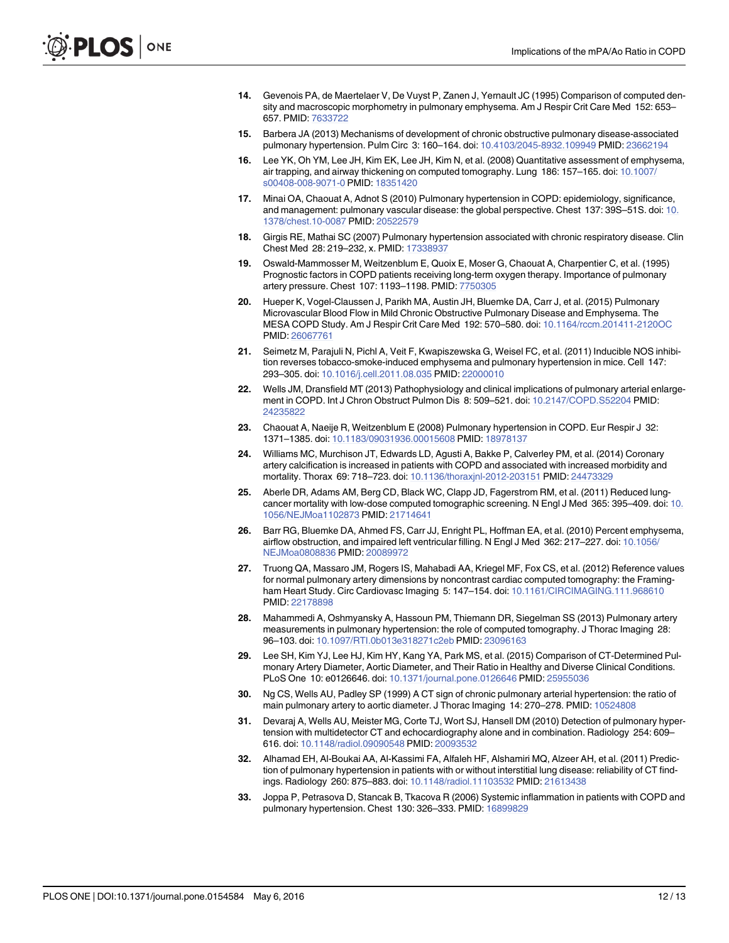- <span id="page-11-0"></span>[14.](#page-2-0) Gevenois PA, de Maertelaer V, De Vuyst P, Zanen J, Yernault JC (1995) Comparison of computed density and macroscopic morphometry in pulmonary emphysema. Am J Respir Crit Care Med 152: 653– 657. PMID: [7633722](http://www.ncbi.nlm.nih.gov/pubmed/7633722)
- [15.](#page-2-0) Barbera JA (2013) Mechanisms of development of chronic obstructive pulmonary disease-associated pulmonary hypertension. Pulm Circ 3: 160–164. doi: [10.4103/2045-8932.109949](http://dx.doi.org/10.4103/2045-8932.109949) PMID: [23662194](http://www.ncbi.nlm.nih.gov/pubmed/23662194)
- [16.](#page-2-0) Lee YK, Oh YM, Lee JH, Kim EK, Lee JH, Kim N, et al. (2008) Quantitative assessment of emphysema, air trapping, and airway thickening on computed tomography. Lung 186: 157–165. doi: [10.1007/](http://dx.doi.org/10.1007/s00408-008-9071-0) [s00408-008-9071-0](http://dx.doi.org/10.1007/s00408-008-9071-0) PMID: [18351420](http://www.ncbi.nlm.nih.gov/pubmed/18351420)
- [17.](#page-5-0) Minai OA, Chaouat A, Adnot S (2010) Pulmonary hypertension in COPD: epidemiology, significance, and management: pulmonary vascular disease: the global perspective. Chest 137: 39S–51S. doi: [10.](http://dx.doi.org/10.1378/chest.10-0087) [1378/chest.10-0087](http://dx.doi.org/10.1378/chest.10-0087) PMID: [20522579](http://www.ncbi.nlm.nih.gov/pubmed/20522579)
- 18. Girgis RE, Mathai SC (2007) Pulmonary hypertension associated with chronic respiratory disease. Clin Chest Med 28: 219–232, x. PMID: [17338937](http://www.ncbi.nlm.nih.gov/pubmed/17338937)
- [19.](#page-5-0) Oswald-Mammosser M, Weitzenblum E, Quoix E, Moser G, Chaouat A, Charpentier C, et al. (1995) Prognostic factors in COPD patients receiving long-term oxygen therapy. Importance of pulmonary artery pressure. Chest 107: 1193–1198. PMID: [7750305](http://www.ncbi.nlm.nih.gov/pubmed/7750305)
- [20.](#page-6-0) Hueper K, Vogel-Claussen J, Parikh MA, Austin JH, Bluemke DA, Carr J, et al. (2015) Pulmonary Microvascular Blood Flow in Mild Chronic Obstructive Pulmonary Disease and Emphysema. The MESA COPD Study. Am J Respir Crit Care Med 192: 570–580. doi: [10.1164/rccm.201411-2120OC](http://dx.doi.org/10.1164/rccm.201411-2120OC) PMID: [26067761](http://www.ncbi.nlm.nih.gov/pubmed/26067761)
- [21.](#page-6-0) Seimetz M, Parajuli N, Pichl A, Veit F, Kwapiszewska G, Weisel FC, et al. (2011) Inducible NOS inhibition reverses tobacco-smoke-induced emphysema and pulmonary hypertension in mice. Cell 147: 293–305. doi: [10.1016/j.cell.2011.08.035](http://dx.doi.org/10.1016/j.cell.2011.08.035) PMID: [22000010](http://www.ncbi.nlm.nih.gov/pubmed/22000010)
- [22.](#page-6-0) Wells JM, Dransfield MT (2013) Pathophysiology and clinical implications of pulmonary arterial enlargement in COPD. Int J Chron Obstruct Pulmon Dis 8: 509–521. doi: [10.2147/COPD.S52204](http://dx.doi.org/10.2147/COPD.S52204) PMID: [24235822](http://www.ncbi.nlm.nih.gov/pubmed/24235822)
- [23.](#page-6-0) Chaouat A, Naeije R, Weitzenblum E (2008) Pulmonary hypertension in COPD. Eur Respir J 32: 1371–1385. doi: [10.1183/09031936.00015608](http://dx.doi.org/10.1183/09031936.00015608) PMID: [18978137](http://www.ncbi.nlm.nih.gov/pubmed/18978137)
- [24.](#page-6-0) Williams MC, Murchison JT, Edwards LD, Agusti A, Bakke P, Calverley PM, et al. (2014) Coronary artery calcification is increased in patients with COPD and associated with increased morbidity and mortality. Thorax 69: 718–723. doi: [10.1136/thoraxjnl-2012-203151](http://dx.doi.org/10.1136/thoraxjnl-2012-203151) PMID: [24473329](http://www.ncbi.nlm.nih.gov/pubmed/24473329)
- 25. Aberle DR, Adams AM, Berg CD, Black WC, Clapp JD, Fagerstrom RM, et al. (2011) Reduced lung-cancer mortality with low-dose computed tomographic screening. N Engl J Med 365: 395-409. doi: [10.](http://dx.doi.org/10.1056/NEJMoa1102873) [1056/NEJMoa1102873](http://dx.doi.org/10.1056/NEJMoa1102873) PMID: [21714641](http://www.ncbi.nlm.nih.gov/pubmed/21714641)
- [26.](#page-6-0) Barr RG, Bluemke DA, Ahmed FS, Carr JJ, Enright PL, Hoffman EA, et al. (2010) Percent emphysema, airflow obstruction, and impaired left ventricular filling. N Engl J Med 362: 217–227. doi: [10.1056/](http://dx.doi.org/10.1056/NEJMoa0808836) [NEJMoa0808836](http://dx.doi.org/10.1056/NEJMoa0808836) PMID: [20089972](http://www.ncbi.nlm.nih.gov/pubmed/20089972)
- [27.](#page-6-0) Truong QA, Massaro JM, Rogers IS, Mahabadi AA, Kriegel MF, Fox CS, et al. (2012) Reference values for normal pulmonary artery dimensions by noncontrast cardiac computed tomography: the Framingham Heart Study. Circ Cardiovasc Imaging 5: 147–154. doi: [10.1161/CIRCIMAGING.111.968610](http://dx.doi.org/10.1161/CIRCIMAGING.111.968610) PMID: [22178898](http://www.ncbi.nlm.nih.gov/pubmed/22178898)
- [28.](#page-6-0) Mahammedi A, Oshmyansky A, Hassoun PM, Thiemann DR, Siegelman SS (2013) Pulmonary artery measurements in pulmonary hypertension: the role of computed tomography. J Thorac Imaging 28: 96–103. doi: [10.1097/RTI.0b013e318271c2eb](http://dx.doi.org/10.1097/RTI.0b013e318271c2eb) PMID: [23096163](http://www.ncbi.nlm.nih.gov/pubmed/23096163)
- [29.](#page-6-0) Lee SH, Kim YJ, Lee HJ, Kim HY, Kang YA, Park MS, et al. (2015) Comparison of CT-Determined Pulmonary Artery Diameter, Aortic Diameter, and Their Ratio in Healthy and Diverse Clinical Conditions. PLoS One 10: e0126646. doi: [10.1371/journal.pone.0126646](http://dx.doi.org/10.1371/journal.pone.0126646) PMID: [25955036](http://www.ncbi.nlm.nih.gov/pubmed/25955036)
- [30.](#page-6-0) Ng CS, Wells AU, Padley SP (1999) A CT sign of chronic pulmonary arterial hypertension: the ratio of main pulmonary artery to aortic diameter. J Thorac Imaging 14: 270–278. PMID: [10524808](http://www.ncbi.nlm.nih.gov/pubmed/10524808)
- 31. Devaraj A, Wells AU, Meister MG, Corte TJ, Wort SJ, Hansell DM (2010) Detection of pulmonary hypertension with multidetector CT and echocardiography alone and in combination. Radiology 254: 609– 616. doi: [10.1148/radiol.09090548](http://dx.doi.org/10.1148/radiol.09090548) PMID: [20093532](http://www.ncbi.nlm.nih.gov/pubmed/20093532)
- [32.](#page-6-0) Alhamad EH, Al-Boukai AA, Al-Kassimi FA, Alfaleh HF, Alshamiri MQ, Alzeer AH, et al. (2011) Prediction of pulmonary hypertension in patients with or without interstitial lung disease: reliability of CT findings. Radiology 260: 875–883. doi: [10.1148/radiol.11103532](http://dx.doi.org/10.1148/radiol.11103532) PMID: [21613438](http://www.ncbi.nlm.nih.gov/pubmed/21613438)
- [33.](#page-8-0) Joppa P, Petrasova D, Stancak B, Tkacova R (2006) Systemic inflammation in patients with COPD and pulmonary hypertension. Chest 130: 326–333. PMID: [16899829](http://www.ncbi.nlm.nih.gov/pubmed/16899829)